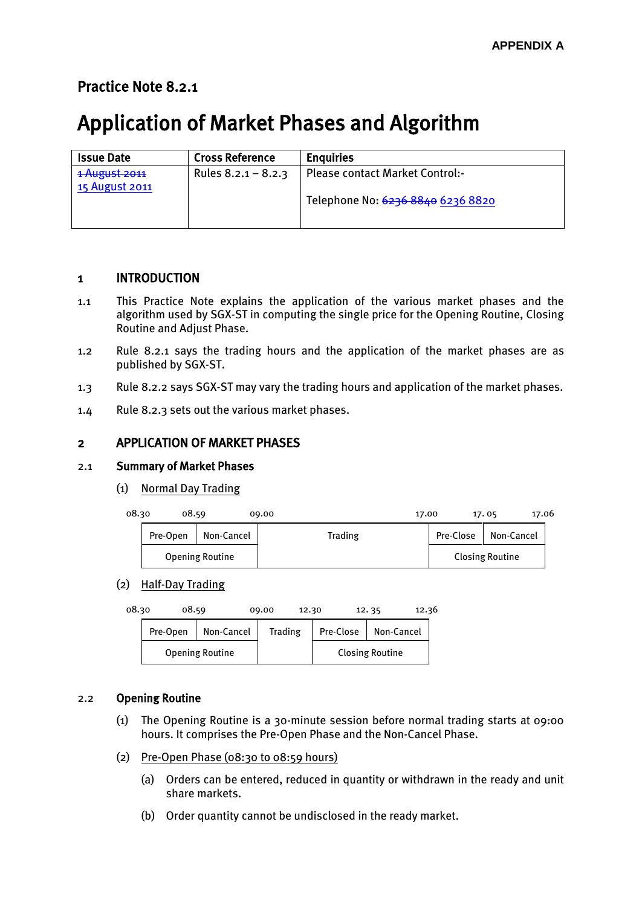# Practice Note 8.2.1

# Application of Market Phases and Algorithm

| <b>Issue Date</b>               | <b>Cross Reference</b> | <b>Enguiries</b>                       |
|---------------------------------|------------------------|----------------------------------------|
| 1 August 2011<br>15 August 2011 | Rules $8.2.1 - 8.2.3$  | <b>Please contact Market Control:-</b> |
|                                 |                        | Telephone No: 6236 8840 6236 8820      |

# 1 INTRODUCTION

- 1.1 This Practice Note explains the application of the various market phases and the algorithm used by SGX-ST in computing the single price for the Opening Routine, Closing Routine and Adjust Phase.
- 1.2 Rule 8.2.1 says the trading hours and the application of the market phases are as published by SGX-ST.
- 1.3 Rule 8.2.2 says SGX-ST may vary the trading hours and application of the market phases.
- 1.4 Rule 8.2.3 sets out the various market phases.

# 2 APPLICATION OF MARKET PHASES

# 2.1 Summary of Market Phases

(1) Normal Day Trading

| 08.30 | 08.59    |                        | 17.00<br>09.00 |           | 17.06<br>17.05         |  |
|-------|----------|------------------------|----------------|-----------|------------------------|--|
|       | Pre-Open | Non-Cancel             | Trading        | Pre-Close | Non-Cancel             |  |
|       |          | <b>Opening Routine</b> |                |           | <b>Closing Routine</b> |  |

#### (2) Half-Day Trading

| 08.30 | 08.59    |                        | 09.00<br>12.30 |           | 12.36<br>12.35         |  |
|-------|----------|------------------------|----------------|-----------|------------------------|--|
|       | Pre-Open | Non-Cancel             | <b>Trading</b> | Pre-Close | Non-Cancel             |  |
|       |          | <b>Opening Routine</b> |                |           | <b>Closing Routine</b> |  |

# 2.2 Opening Routine

- (1) The Opening Routine is a 30-minute session before normal trading starts at 09:00 hours. It comprises the Pre-Open Phase and the Non-Cancel Phase.
- (2) Pre-Open Phase (08:30 to 08:59 hours)
	- (a) Orders can be entered, reduced in quantity or withdrawn in the ready and unit share markets.
	- (b) Order quantity cannot be undisclosed in the ready market.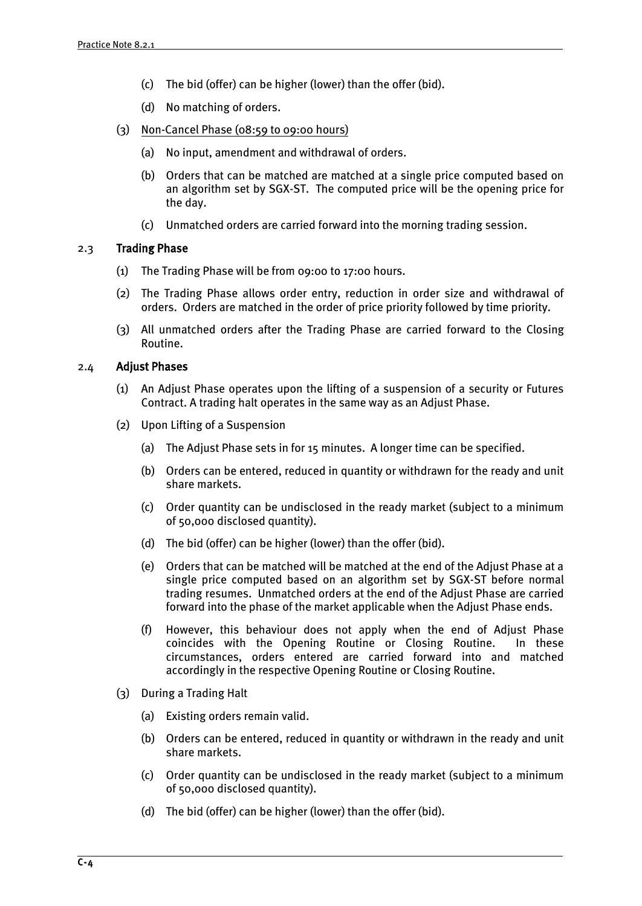- (c) The bid (offer) can be higher (lower) than the offer (bid).
- (d) No matching of orders.
- (3) Non-Cancel Phase (08:59 to 09:00 hours)
	- (a) No input, amendment and withdrawal of orders.
	- (b) Orders that can be matched are matched at a single price computed based on an algorithm set by SGX-ST. The computed price will be the opening price for the day.
	- (c) Unmatched orders are carried forward into the morning trading session.

## 2.3 Trading Phase

- (1) The Trading Phase will be from 09:00 to 17:00 hours.
- (2) The Trading Phase allows order entry, reduction in order size and withdrawal of orders. Orders are matched in the order of price priority followed by time priority.
- (3) All unmatched orders after the Trading Phase are carried forward to the Closing Routine.

## 2.4 Adjust Phases

- (1) An Adjust Phase operates upon the lifting of a suspension of a security or Futures Contract. A trading halt operates in the same way as an Adjust Phase.
- (2) Upon Lifting of a Suspension
	- (a) The Adjust Phase sets in for 15 minutes. A longer time can be specified.
	- (b) Orders can be entered, reduced in quantity or withdrawn for the ready and unit share markets.
	- (c) Order quantity can be undisclosed in the ready market (subject to a minimum of 50,000 disclosed quantity).
	- (d) The bid (offer) can be higher (lower) than the offer (bid).
	- (e) Orders that can be matched will be matched at the end of the Adjust Phase at a single price computed based on an algorithm set by SGX-ST before normal trading resumes. Unmatched orders at the end of the Adjust Phase are carried forward into the phase of the market applicable when the Adjust Phase ends.
	- (f) However, this behaviour does not apply when the end of Adjust Phase coincides with the Opening Routine or Closing Routine. In these circumstances, orders entered are carried forward into and matched accordingly in the respective Opening Routine or Closing Routine.
- (3) During a Trading Halt
	- (a) Existing orders remain valid.
	- (b) Orders can be entered, reduced in quantity or withdrawn in the ready and unit share markets.
	- (c) Order quantity can be undisclosed in the ready market (subject to a minimum of 50,000 disclosed quantity).
	- (d) The bid (offer) can be higher (lower) than the offer (bid).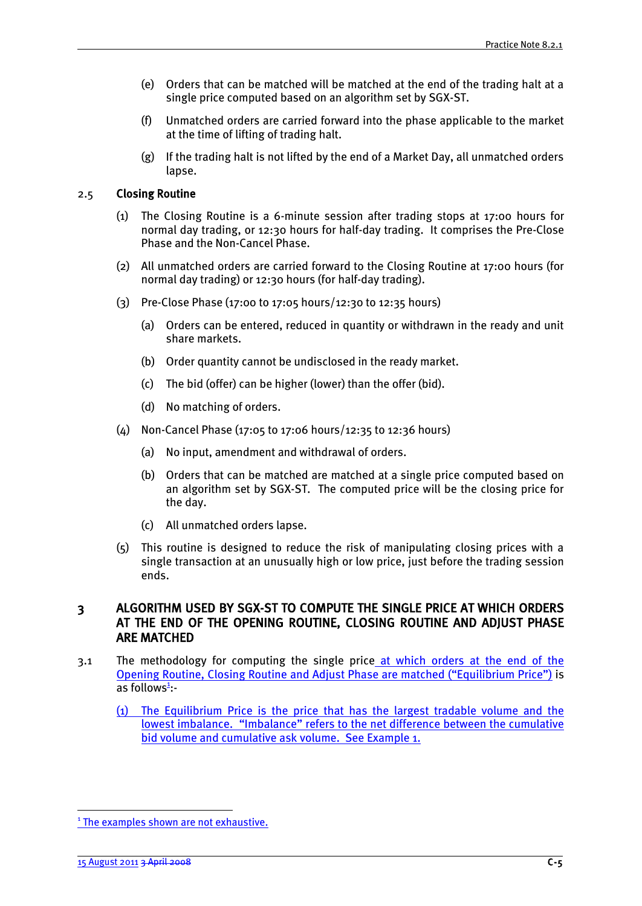- (e) Orders that can be matched will be matched at the end of the trading halt at a single price computed based on an algorithm set by SGX-ST.
- (f) Unmatched orders are carried forward into the phase applicable to the market at the time of lifting of trading halt.
- (g) If the trading halt is not lifted by the end of a Market Day, all unmatched orders lapse.

#### 2.5 Closing Routine

- (1) The Closing Routine is a 6-minute session after trading stops at 17:00 hours for normal day trading, or 12:30 hours for half-day trading. It comprises the Pre-Close Phase and the Non-Cancel Phase.
- (2) All unmatched orders are carried forward to the Closing Routine at 17:00 hours (for normal day trading) or 12:30 hours (for half-day trading).
- (3) Pre-Close Phase (17:00 to 17:05 hours/12:30 to 12:35 hours)
	- (a) Orders can be entered, reduced in quantity or withdrawn in the ready and unit share markets.
	- (b) Order quantity cannot be undisclosed in the ready market.
	- (c) The bid (offer) can be higher (lower) than the offer (bid).
	- (d) No matching of orders.
- (4) Non-Cancel Phase (17:05 to 17:06 hours/12:35 to 12:36 hours)
	- (a) No input, amendment and withdrawal of orders.
	- (b) Orders that can be matched are matched at a single price computed based on an algorithm set by SGX-ST. The computed price will be the closing price for the day.
	- (c) All unmatched orders lapse.
- (5) This routine is designed to reduce the risk of manipulating closing prices with a single transaction at an unusually high or low price, just before the trading session ends.

# 3 ALGORITHM USED BY SGX-ST TO COMPUTE THE SINGLE PRICE AT WHICH ORDERS AT THE END OF THE OPENING ROUTINE, CLOSING ROUTINE AND ADJUST PHASE ARE MATCHED

- 3.1 The methodology for computing the single price at which orders at the end of the Opening Routine, Closing Routine and Adjust Phase are matched ("Equilibrium Price") is as follows<sup>1</sup>:-
	- (1) The Equilibrium Price is the price that has the largest tradable volume and the lowest imbalance. "Imbalance" refers to the net difference between the cumulative bid volume and cumulative ask volume. See Example 1.

<u>.</u>

<sup>&</sup>lt;sup>1</sup> The examples shown are not exhaustive.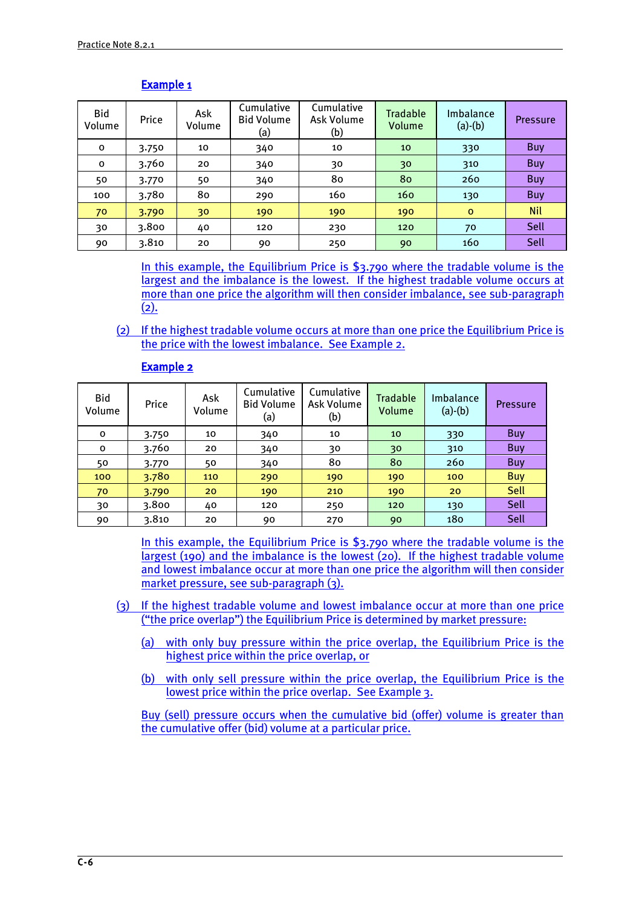| Bid<br>Volume | Price | Ask<br>Volume | Cumulative<br><b>Bid Volume</b><br>(a) | Cumulative<br>Ask Volume<br>(b) | Tradable<br>Volume | Imbalance<br>$(a)-(b)$ | <b>Pressure</b> |
|---------------|-------|---------------|----------------------------------------|---------------------------------|--------------------|------------------------|-----------------|
| 0             | 3.750 | 10            | 340                                    | 10                              | 10                 | 330                    | <b>Buy</b>      |
| $\mathbf 0$   | 3.760 | 20            | 340                                    | 30                              | 30                 | 310                    | <b>Buy</b>      |
| 50            | 3.770 | 50            | 340                                    | 80                              | 80                 | 260                    | <b>Buy</b>      |
| 100           | 3.780 | 80            | 290                                    | 160                             | 160                | 130                    | <b>Buy</b>      |
| 70            | 3.790 | 30            | 190                                    | 190                             | 190                | $\circ$                | <b>Nil</b>      |
| 30            | 3.800 | 40            | 120                                    | 230                             | 120                | 70                     | Sell            |
| 90            | 3.810 | 20            | 90                                     | 250                             | 90                 | 160                    | Sell            |

## Example 1

In this example, the Equilibrium Price is \$3.790 where the tradable volume is the largest and the imbalance is the lowest. If the highest tradable volume occurs at more than one price the algorithm will then consider imbalance, see sub-paragraph  $(2).$ 

(2) If the highest tradable volume occurs at more than one price the Equilibrium Price is the price with the lowest imbalance. See Example 2.

| Bid<br>Volume | Price | Ask<br>Volume | Cumulative<br><b>Bid Volume</b><br>(a) | Cumulative<br>Ask Volume<br>(b) | Tradable<br>Volume | Imbalance<br>$(a)-(b)$ | <b>Pressure</b> |
|---------------|-------|---------------|----------------------------------------|---------------------------------|--------------------|------------------------|-----------------|
| 0             | 3.750 | 10            | 340                                    | 10                              | 10                 | 330                    | <b>Buy</b>      |
| 0             | 3.760 | 20            | 340                                    | 30                              | 30                 | 310                    | <b>Buy</b>      |
| 50            | 3.770 | 50            | 340                                    | 80                              | 80                 | 260                    | Buy             |
| 100           | 3.780 | 110           | 290                                    | 190                             | 190                | 100                    | <b>Buy</b>      |
| 70            | 3.790 | 20            | 190                                    | 210                             | 190                | 20                     | Sell            |
| 30            | 3.800 | 40            | 120                                    | 250                             | 120                | 130                    | Sell            |
| 90            | 3.810 | 20            | 90                                     | 270                             | 90                 | 180                    | Sell            |

# Example 2

In this example, the Equilibrium Price is \$3.790 where the tradable volume is the largest (190) and the imbalance is the lowest (20). If the highest tradable volume and lowest imbalance occur at more than one price the algorithm will then consider market pressure, see sub-paragraph (3).

- (3) If the highest tradable volume and lowest imbalance occur at more than one price ("the price overlap") the Equilibrium Price is determined by market pressure:
	- (a) with only buy pressure within the price overlap, the Equilibrium Price is the highest price within the price overlap, or
	- (b) with only sell pressure within the price overlap, the Equilibrium Price is the lowest price within the price overlap. See Example 3.

Buy (sell) pressure occurs when the cumulative bid (offer) volume is greater than the cumulative offer (bid) volume at a particular price.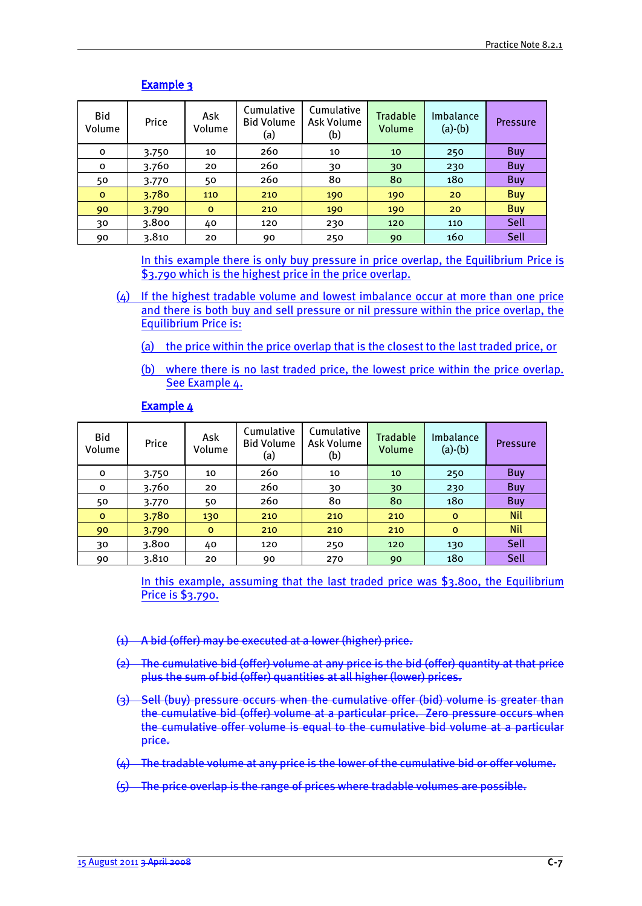| Bid<br>Volume | Price | Ask<br>Volume | Cumulative<br><b>Bid Volume</b><br>(a) | Cumulative<br>Ask Volume<br>(b) | <b>Tradable</b><br>Volume | Imbalance<br>$(a)-(b)$ | <b>Pressure</b> |
|---------------|-------|---------------|----------------------------------------|---------------------------------|---------------------------|------------------------|-----------------|
| O             | 3.750 | 10            | 260                                    | 10                              | 10                        | 250                    | Buy             |
| $\mathbf 0$   | 3.760 | 20            | 260                                    | 30                              | 30                        | 230                    | <b>Buy</b>      |
| 50            | 3.770 | 50            | 260                                    | 80                              | 80                        | 180                    | <b>Buy</b>      |
| $\mathbf 0$   | 3.780 | 110           | 210                                    | 190                             | 190                       | 20                     | <b>Buy</b>      |
| 90            | 3.790 | $\mathbf{o}$  | 210                                    | 190                             | 190                       | 20                     | <b>Buy</b>      |
| 30            | 3.800 | 40            | 120                                    | 230                             | 120                       | 110                    | Sell            |
| 90            | 3.810 | 20            | 90                                     | 250                             | 90                        | 160                    | Sell            |

# Example 3

In this example there is only buy pressure in price overlap, the Equilibrium Price is \$3.790 which is the highest price in the price overlap.

- (4) If the highest tradable volume and lowest imbalance occur at more than one price and there is both buy and sell pressure or nil pressure within the price overlap, the Equilibrium Price is:
	- (a) the price within the price overlap that is the closest to the last traded price, or
	- (b) where there is no last traded price, the lowest price within the price overlap. See Example 4.

| Bid<br>Volume | Price | Ask<br>Volume | Cumulative<br><b>Bid Volume</b><br>(a) | Cumulative<br>Ask Volume<br>(b) | <b>Tradable</b><br>Volume | Imbalance<br>$(a)-(b)$ | <b>Pressure</b> |
|---------------|-------|---------------|----------------------------------------|---------------------------------|---------------------------|------------------------|-----------------|
| o             | 3.750 | 10            | 260                                    | 10                              | 10                        | 250                    | Buy             |
| 0             | 3.760 | 20            | 260                                    | 30                              | 30                        | 230                    | Buy             |
| 50            | 3.770 | 50            | 260                                    | 80                              | 80                        | 180                    | Buy             |
| $\circ$       | 3.780 | 130           | 210                                    | 210                             | 210                       | $\mathbf{o}$           | <b>Nil</b>      |
| 90            | 3.790 | $\mathbf{o}$  | 210                                    | 210                             | 210                       | $\circ$                | <b>Nil</b>      |
| 30            | 3.800 | 40            | 120                                    | 250                             | 120                       | 130                    | Sell            |
| 90            | 3.810 | 20            | 90                                     | 270                             | 90                        | 180                    | Sell            |

## Example 4

In this example, assuming that the last traded price was \$3.800, the Equilibrium Price is \$3.790.

- (1) A bid (offer) may be executed at a lower (higher) price.
- (2) The cumulative bid (offer) volume at any price is the bid (offer) quantity at that price plus the sum of bid (offer) quantities at all higher (lower) prices.
- (3) Sell (buy) pressure occurs when the cumulative offer (bid) volume is greater than the cumulative bid (offer) volume at a particular price. Zero pressure occurs when the cumulative offer volume is equal to the cumulative bid volume at a particular price.
- $(4)$  The tradable volume at any price is the lower of the cumulative bid or offer volume.
- (5) The price overlap is the range of prices where tradable volumes are possible.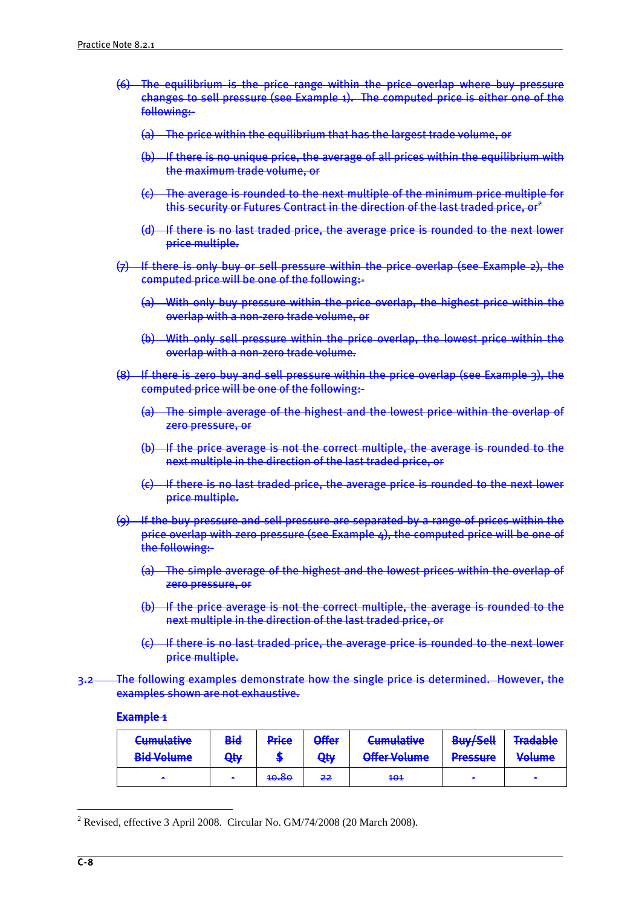- (6) The equilibrium is the price range within the price overlap where buy pressure changes to sell pressure (see Example 1). The computed price is either one of the following:-
	- (a) The price within the equilibrium that has the largest trade volume, or
	- (b) If there is no unique price, the average of all prices within the equilibrium with the maximum trade volume, or
	- (c) The average is rounded to the next multiple of the minimum price multiple for this security or Futures Contract in the direction of the last traded price, or  $e^2$
	- (d) If there is no last traded price, the average price is rounded to the next lower price multiple.
- (7) If there is only buy or sell pressure within the price overlap (see Example 2), the computed price will be one of the following:-
	- (a) With only buy pressure within the price overlap, the highest price within the overlap with a non-zero trade volume, or
	- (b) With only sell pressure within the price overlap, the lowest price within the overlap with a non-zero trade volume.
- (8) If there is zero buy and sell pressure within the price overlap (see Example 3), the computed price will be one of the following:-
	- (a) The simple average of the highest and the lowest price within the overlap of zero pressure, or
	- (b) If the price average is not the correct multiple, the average is rounded to the next multiple in the direction of the last traded price, or
	- (c) If there is no last traded price, the average price is rounded to the next lower price multiple.
- (9) If the buy pressure and sell pressure are separated by a range of prices within the price overlap with zero pressure (see Example 4), the computed price will be one of the following:-
	- (a) The simple average of the highest and the lowest prices within the overlap of zero pressure, or
	- (b) If the price average is not the correct multiple, the average is rounded to the next multiple in the direction of the last traded price, or
	- (c) If there is no last traded price, the average price is rounded to the next lower price multiple.
- 3.2 The following examples demonstrate how the single price is determined. However, the examples shown are not exhaustive.

## Example 1

| <b>Cumulative</b><br><b>Bid Volume</b> | Bid<br>Qty | Price            | <b>Offer</b><br><b>Qty</b> | <b>Cumulative</b><br>Offer Volume | <b>Buy/Sell</b><br><b>Draccura</b><br><del>n coourc</del> | <b>Tradable</b><br><b>Volume</b> |
|----------------------------------------|------------|------------------|----------------------------|-----------------------------------|-----------------------------------------------------------|----------------------------------|
| <b>COL</b>                             | $\sim$     | <del>10.80</del> | $-22$                      | $+0.1$                            | <b>COL</b>                                                | $\sim$                           |

<sup>&</sup>lt;sup>2</sup> Revised, effective 3 April 2008. Circular No. GM/74/2008 (20 March 2008).

1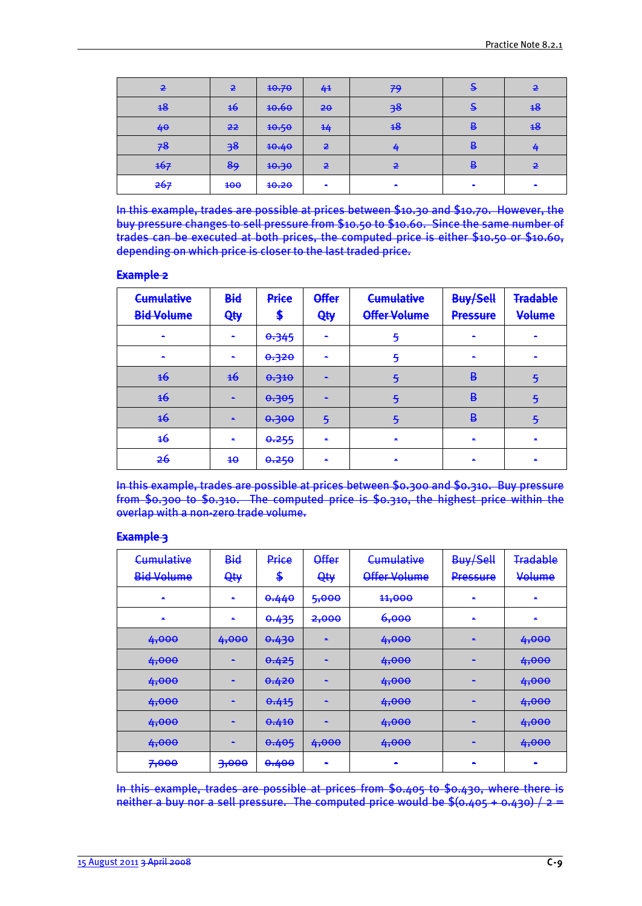| $\overline{2}$ | $\overline{2}$ | 40.70            | 4 <sup>1</sup> | 79             | -        | $\overline{2}$ |
|----------------|----------------|------------------|----------------|----------------|----------|----------------|
| 48             | 46             | <b>10.60</b>     | 20             | 38             |          | 48             |
| 40             | $-22$          | 40.50            | $rac{44}{7}$   | 48             | R<br>. . | 48             |
| 78             | 38             | 40.40            | $\overline{2}$ | 4              | ₿        |                |
| 167            | 89             | <del>10.30</del> | $\overline{2}$ | $\overline{2}$ | ₽        | $\overline{P}$ |
| 267            | 400            | 40.20            | -              | $\sim$         | $\sim$   |                |

In this example, trades are possible at prices between \$10.30 and \$10.70. However, the buy pressure changes to sell pressure from \$10.50 to \$10.60. Since the same number of trades can be executed at both prices, the computed price is either \$10.50 or \$10.60, depending on which price is closer to the last traded price.

#### Example 2

| <b>Cumulative</b><br><b>Bid Volume</b> | <b>Bid</b><br>Qty | <b>Price</b><br>æ | <b>Offer</b><br>Qty | <b>Cumulative</b><br><b>Offer Volume</b> | <b>Buy/Sell</b><br><b>Pressure</b> | <b>Tradable</b><br>Volume |
|----------------------------------------|-------------------|-------------------|---------------------|------------------------------------------|------------------------------------|---------------------------|
|                                        | $\blacksquare$    | 0.345             | $\sim$              | 5                                        |                                    |                           |
|                                        | $\blacksquare$    | 0.320             | $\sim$              | 5                                        |                                    |                           |
| <del>16</del>                          | $\frac{16}{10}$   | 0.310             | -                   | 5                                        | $\overline{B}$                     | 5                         |
| $\overline{46}$                        | -                 | 0.305             | -                   | 亐                                        | $\overline{B}$                     | 5                         |
| $\overline{46}$                        | -                 | 0.300             | 5                   | 亐                                        | B                                  | 5                         |
| <del>16</del>                          | $\blacksquare$    | 0.255             | -                   |                                          |                                    |                           |
| <del>26</del>                          | $4\Theta$         | 0.250             |                     |                                          |                                    |                           |

In this example, trades are possible at prices between \$0.300 and \$0.310. Buy pressure from \$0.300 to \$0.310. The computed price is \$0.310, the highest price within the overlap with a non-zero trade volume.

# Example 3

| <b>Cumulative</b> | <b>Bid</b>               | Price            | <b>Offer</b> | <b>Cumulative</b> | Buy/Sell       | <b>Tradable</b> |
|-------------------|--------------------------|------------------|--------------|-------------------|----------------|-----------------|
| <b>Bid Volume</b> | <b>Qty</b>               | \$               | Qty          | Offer Volume      | Pressure       | Volume          |
| $\blacksquare$    | $\mathbf{r}$             | 0.440            | 5,000        | 11,000            | $\blacksquare$ | $\blacksquare$  |
| -                 | $\overline{\phantom{a}}$ | 0.435            | 2,000        | 6,000             | $\blacksquare$ |                 |
| 4,000             | 4,000                    | 0.430            |              | 4,000             |                | 4,000           |
| 4,000             | -                        | 0.425            | -            | 4,000             | -              | 4,000           |
| 4,000             | ж.                       | 0.420            | <b>COL</b>   | 4,000             | ×              | 4,000           |
| 4,000             | -                        | 0.415            | $\sim$       | 4,000             | -              | 4,000           |
| 4,000             |                          | 0.410            |              | 4,000             |                | 4,000           |
| 4,000             | ж.                       | 0.405            | 4,000        | 4,000             | $\blacksquare$ | 4,000           |
| 7,000             | 3,000                    | <del>0.400</del> |              |                   |                |                 |

In this example, trades are possible at prices from \$0.405 to \$0.430, where there is neither a buy nor a sell pressure. The computed price would be  $\frac{6}{3}(0.405 + 0.430)$  / 2 =